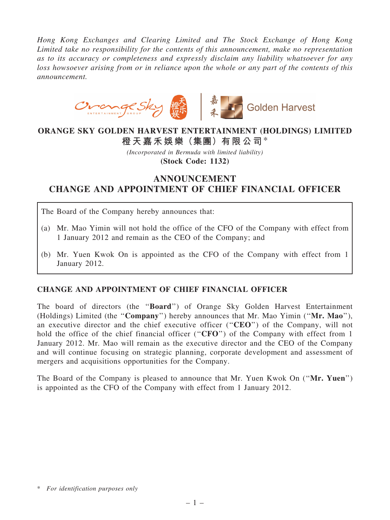*Hong Kong Exchanges and Clearing Limited and The Stock Exchange of Hong Kong Limited take no responsibility for the contents of this announcement, make no representation as to its accuracy or completeness and expressly disclaim any liability whatsoever for any loss howsoever arising from or in reliance upon the whole or any part of the contents of this announcement.*



## ORANGE SKY GOLDEN HARVEST ENTERTAINMENT (HOLDINGS) LIMITED 橙天嘉禾娛樂(集團)有限公司\*

*(Incorporated in Bermuda with limited liability)* (Stock Code: 1132)

## ANNOUNCEMENT CHANGE AND APPOINTMENT OF CHIEF FINANCIAL OFFICER

The Board of the Company hereby announces that:

- (a) Mr. Mao Yimin will not hold the office of the CFO of the Company with effect from 1 January 2012 and remain as the CEO of the Company; and
- (b) Mr. Yuen Kwok On is appointed as the CFO of the Company with effect from 1 January 2012.

## CHANGE AND APPOINTMENT OF CHIEF FINANCIAL OFFICER

The board of directors (the ''Board'') of Orange Sky Golden Harvest Entertainment (Holdings) Limited (the "Company") hereby announces that Mr. Mao Yimin ("Mr. Mao"), an executive director and the chief executive officer ("CEO") of the Company, will not hold the office of the chief financial officer ("CFO") of the Company with effect from 1 January 2012. Mr. Mao will remain as the executive director and the CEO of the Company and will continue focusing on strategic planning, corporate development and assessment of mergers and acquisitions opportunities for the Company.

The Board of the Company is pleased to announce that Mr. Yuen Kwok On ("Mr. Yuen") is appointed as the CFO of the Company with effect from 1 January 2012.

<sup>\*</sup> *For identification purposes only*